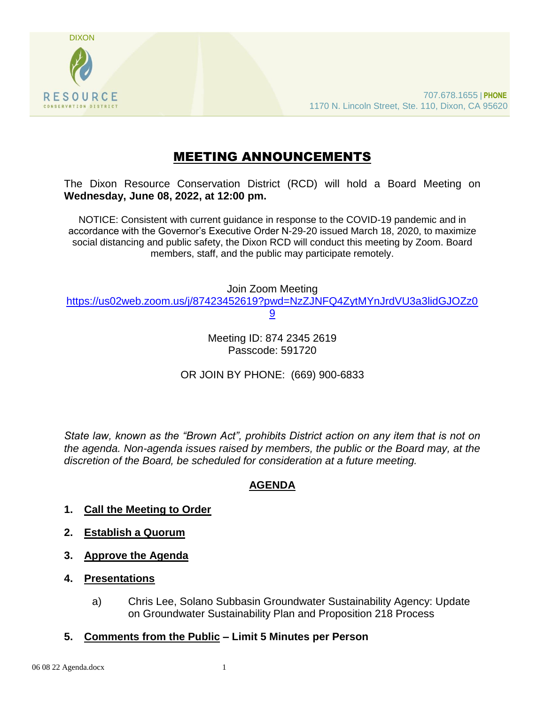

# MEETING ANNOUNCEMENTS

The Dixon Resource Conservation District (RCD) will hold a Board Meeting on **Wednesday, June 08, 2022, at 12:00 pm.** 

NOTICE: Consistent with current guidance in response to the COVID-19 pandemic and in accordance with the Governor's Executive Order N-29-20 issued March 18, 2020, to maximize social distancing and public safety, the Dixon RCD will conduct this meeting by Zoom. Board members, staff, and the public may participate remotely.

Join Zoom Meeting [https://us02web.zoom.us/j/87423452619?pwd=NzZJNFQ4ZytMYnJrdVU3a3lidGJOZz0](https://us02web.zoom.us/j/87423452619?pwd=NzZJNFQ4ZytMYnJrdVU3a3lidGJOZz09) [9](https://us02web.zoom.us/j/87423452619?pwd=NzZJNFQ4ZytMYnJrdVU3a3lidGJOZz09)

> Meeting ID: 874 2345 2619 Passcode: 591720

OR JOIN BY PHONE: (669) 900-6833

*State law, known as the "Brown Act", prohibits District action on any item that is not on the agenda. Non-agenda issues raised by members, the public or the Board may, at the discretion of the Board, be scheduled for consideration at a future meeting.*

## **AGENDA**

- **1. Call the Meeting to Order**
- **2. Establish a Quorum**
- **3. Approve the Agenda**
- **4. Presentations**
	- a) Chris Lee, Solano Subbasin Groundwater Sustainability Agency: Update on Groundwater Sustainability Plan and Proposition 218 Process
- **5. Comments from the Public – Limit 5 Minutes per Person**